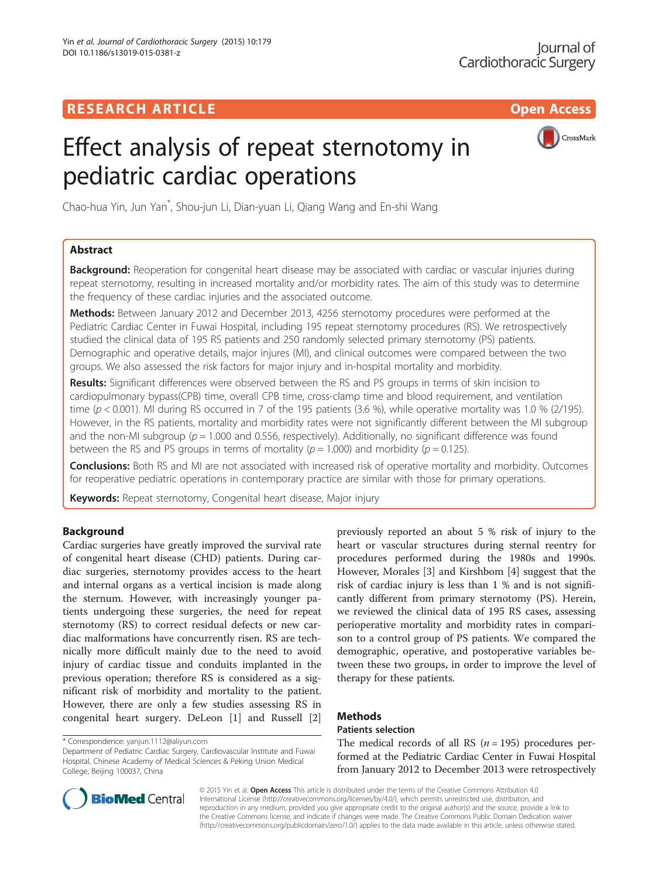

# Effect analysis of repeat sternotomy in pediatric cardiac operations

Chao-hua Yin, Jun Yan\* , Shou-jun Li, Dian-yuan Li, Qiang Wang and En-shi Wang

# Abstract

**Background:** Reoperation for congenital heart disease may be associated with cardiac or vascular injuries during repeat sternotomy, resulting in increased mortality and/or morbidity rates. The aim of this study was to determine the frequency of these cardiac injuries and the associated outcome.

Methods: Between January 2012 and December 2013, 4256 sternotomy procedures were performed at the Pediatric Cardiac Center in Fuwai Hospital, including 195 repeat sternotomy procedures (RS). We retrospectively studied the clinical data of 195 RS patients and 250 randomly selected primary sternotomy (PS) patients. Demographic and operative details, major injures (MI), and clinical outcomes were compared between the two groups. We also assessed the risk factors for major injury and in-hospital mortality and morbidity.

Results: Significant differences were observed between the RS and PS groups in terms of skin incision to cardiopulmonary bypass(CPB) time, overall CPB time, cross-clamp time and blood requirement, and ventilation time ( $p < 0.001$ ). MI during RS occurred in 7 of the 195 patients (3.6 %), while operative mortality was 1.0 % (2/195). However, in the RS patients, mortality and morbidity rates were not significantly different between the MI subgroup and the non-MI subgroup ( $p = 1.000$  and 0.556, respectively). Additionally, no significant difference was found between the RS and PS groups in terms of mortality ( $p = 1.000$ ) and morbidity ( $p = 0.125$ ).

Conclusions: Both RS and MI are not associated with increased risk of operative mortality and morbidity. Outcomes for reoperative pediatric operations in contemporary practice are similar with those for primary operations.

Keywords: Repeat sternotomy, Congenital heart disease, Major injury

# Background

Cardiac surgeries have greatly improved the survival rate of congenital heart disease (CHD) patients. During cardiac surgeries, sternotomy provides access to the heart and internal organs as a vertical incision is made along the sternum. However, with increasingly younger patients undergoing these surgeries, the need for repeat sternotomy (RS) to correct residual defects or new cardiac malformations have concurrently risen. RS are technically more difficult mainly due to the need to avoid injury of cardiac tissue and conduits implanted in the previous operation; therefore RS is considered as a significant risk of morbidity and mortality to the patient. However, there are only a few studies assessing RS in congenital heart surgery. DeLeon [\[1](#page-4-0)] and Russell [\[2](#page-4-0)]

previously reported an about 5 % risk of injury to the heart or vascular structures during sternal reentry for procedures performed during the 1980s and 1990s. However, Morales [[3](#page-4-0)] and Kirshbom [[4\]](#page-4-0) suggest that the risk of cardiac injury is less than 1 % and is not significantly different from primary sternotomy (PS). Herein, we reviewed the clinical data of 195 RS cases, assessing perioperative mortality and morbidity rates in comparison to a control group of PS patients. We compared the demographic, operative, and postoperative variables between these two groups, in order to improve the level of therapy for these patients.

# Methods

# Patients selection

The medical records of all RS  $(n = 195)$  procedures performed at the Pediatric Cardiac Center in Fuwai Hospital from January 2012 to December 2013 were retrospectively



© 2015 Yin et al. Open Access This article is distributed under the terms of the Creative Commons Attribution 4.0 International License [\(http://creativecommons.org/licenses/by/4.0/](http://creativecommons.org/licenses/by/4.0/)), which permits unrestricted use, distribution, and reproduction in any medium, provided you give appropriate credit to the original author(s) and the source, provide a link to the Creative Commons license, and indicate if changes were made. The Creative Commons Public Domain Dedication waiver [\(http://creativecommons.org/publicdomain/zero/1.0/](http://creativecommons.org/publicdomain/zero/1.0/)) applies to the data made available in this article, unless otherwise stated.

<sup>\*</sup> Correspondence: [yanjun.1112@aliyun.com](mailto:yanjun.1112@aliyun.com)

Department of Pediatric Cardiac Surgery, Cardiovascular Institute and Fuwai Hospital, Chinese Academy of Medical Sciences & Peking Union Medical College, Beijing 100037, China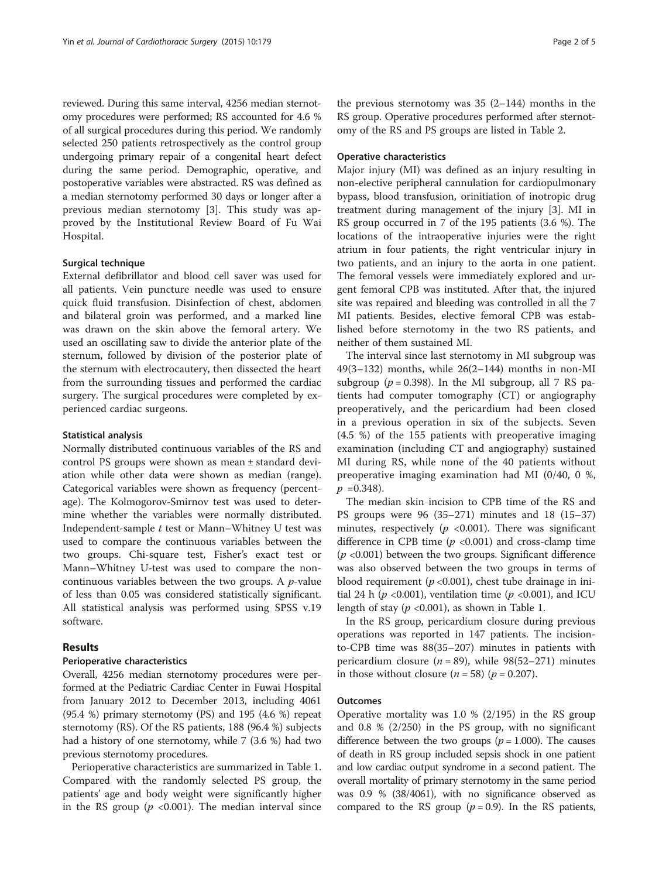reviewed. During this same interval, 4256 median sternotomy procedures were performed; RS accounted for 4.6 % of all surgical procedures during this period. We randomly selected 250 patients retrospectively as the control group undergoing primary repair of a congenital heart defect during the same period. Demographic, operative, and postoperative variables were abstracted. RS was defined as a median sternotomy performed 30 days or longer after a previous median sternotomy [\[3](#page-4-0)]. This study was approved by the Institutional Review Board of Fu Wai Hospital.

## Surgical technique

External defibrillator and blood cell saver was used for all patients. Vein puncture needle was used to ensure quick fluid transfusion. Disinfection of chest, abdomen and bilateral groin was performed, and a marked line was drawn on the skin above the femoral artery. We used an oscillating saw to divide the anterior plate of the sternum, followed by division of the posterior plate of the sternum with electrocautery, then dissected the heart from the surrounding tissues and performed the cardiac surgery. The surgical procedures were completed by experienced cardiac surgeons.

#### Statistical analysis

Normally distributed continuous variables of the RS and control PS groups were shown as mean ± standard deviation while other data were shown as median (range). Categorical variables were shown as frequency (percentage). The Kolmogorov-Smirnov test was used to determine whether the variables were normally distributed. Independent-sample  $t$  test or Mann–Whitney U test was used to compare the continuous variables between the two groups. Chi-square test, Fisher's exact test or Mann–Whitney U-test was used to compare the noncontinuous variables between the two groups. A  $p$ -value of less than 0.05 was considered statistically significant. All statistical analysis was performed using SPSS v.19 software.

## Results

## Perioperative characteristics

Overall, 4256 median sternotomy procedures were performed at the Pediatric Cardiac Center in Fuwai Hospital from January 2012 to December 2013, including 4061 (95.4 %) primary sternotomy (PS) and 195 (4.6 %) repeat sternotomy (RS). Of the RS patients, 188 (96.4 %) subjects had a history of one sternotomy, while 7 (3.6 %) had two previous sternotomy procedures.

Perioperative characteristics are summarized in Table [1](#page-2-0). Compared with the randomly selected PS group, the patients' age and body weight were significantly higher in the RS group ( $p \le 0.001$ ). The median interval since

the previous sternotomy was  $35$  (2–144) months in the RS group. Operative procedures performed after sternotomy of the RS and PS groups are listed in Table [2](#page-2-0).

#### Operative characteristics

Major injury (MI) was defined as an injury resulting in non-elective peripheral cannulation for cardiopulmonary bypass, blood transfusion, orinitiation of inotropic drug treatment during management of the injury [[3\]](#page-4-0). MI in RS group occurred in 7 of the 195 patients (3.6 %). The locations of the intraoperative injuries were the right atrium in four patients, the right ventricular injury in two patients, and an injury to the aorta in one patient. The femoral vessels were immediately explored and urgent femoral CPB was instituted. After that, the injured site was repaired and bleeding was controlled in all the 7 MI patients. Besides, elective femoral CPB was established before sternotomy in the two RS patients, and neither of them sustained MI.

The interval since last sternotomy in MI subgroup was 49(3–132) months, while  $26(2–144)$  months in non-MI subgroup ( $p = 0.398$ ). In the MI subgroup, all 7 RS patients had computer tomography (CT) or angiography preoperatively, and the pericardium had been closed in a previous operation in six of the subjects. Seven (4.5 %) of the 155 patients with preoperative imaging examination (including CT and angiography) sustained MI during RS, while none of the 40 patients without preoperative imaging examination had MI (0/40, 0 %,  $p = 0.348$ .

The median skin incision to CPB time of the RS and PS groups were 96 (35–271) minutes and 18 (15–37) minutes, respectively ( $p \le 0.001$ ). There was significant difference in CPB time ( $p \le 0.001$ ) and cross-clamp time  $(p \langle 0.001 \rangle)$  between the two groups. Significant difference was also observed between the two groups in terms of blood requirement ( $p < 0.001$ ), chest tube drainage in initial 24 h ( $p < 0.001$ ), ventilation time ( $p < 0.001$ ), and ICU length of stay ( $p < 0.001$ ), as shown in Table [1.](#page-2-0)

In the RS group, pericardium closure during previous operations was reported in 147 patients. The incisionto-CPB time was 88(35–207) minutes in patients with pericardium closure ( $n = 89$ ), while 98(52–271) minutes in those without closure  $(n = 58)$   $(p = 0.207)$ .

## **Outcomes**

Operative mortality was 1.0 % (2/195) in the RS group and 0.8 % (2/250) in the PS group, with no significant difference between the two groups ( $p = 1.000$ ). The causes of death in RS group included sepsis shock in one patient and low cardiac output syndrome in a second patient. The overall mortality of primary sternotomy in the same period was 0.9 % (38/4061), with no significance observed as compared to the RS group  $(p = 0.9)$ . In the RS patients,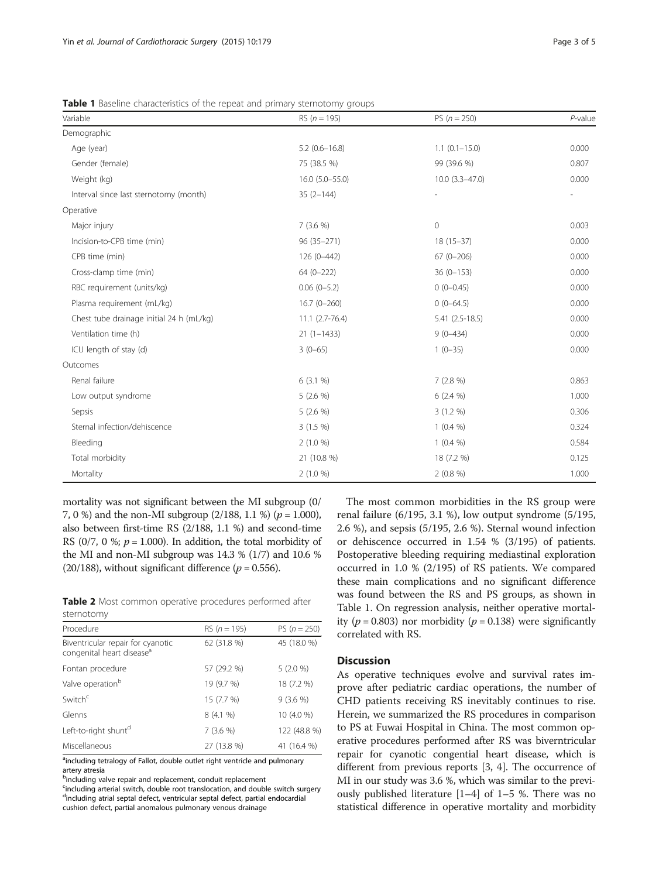| Variable                                 | RS $(n = 195)$        | PS $(n = 250)$           | $P$ -value |
|------------------------------------------|-----------------------|--------------------------|------------|
| Demographic                              |                       |                          |            |
| Age (year)                               | $5.2(0.6 - 16.8)$     | $1.1(0.1 - 15.0)$        | 0.000      |
| Gender (female)                          | 75 (38.5 %)           | 99 (39.6 %)              | 0.807      |
| Weight (kg)                              | $16.0$ $(5.0 - 55.0)$ | $10.0(3.3 - 47.0)$       | 0.000      |
| Interval since last sternotomy (month)   | $35(2 - 144)$         | $\overline{\phantom{a}}$ |            |
| Operative                                |                       |                          |            |
| Major injury                             | 7(3.6%                | $\circ$                  | 0.003      |
| Incision-to-CPB time (min)               | 96 (35-271)           | $18(15-37)$              | 0.000      |
| CPB time (min)                           | 126 (0-442)           | $67(0 - 206)$            | 0.000      |
| Cross-clamp time (min)                   | $64(0-222)$           | $36(0-153)$              | 0.000      |
| RBC requirement (units/kg)               | $0.06(0-5.2)$         | $0(0-0.45)$              | 0.000      |
| Plasma requirement (mL/kg)               | $16.7(0-260)$         | $0(0-64.5)$              | 0.000      |
| Chest tube drainage initial 24 h (mL/kg) | $11.1 (2.7 - 76.4)$   | $5.41(2.5-18.5)$         | 0.000      |
| Ventilation time (h)                     | $21(1-1433)$          | $9(0-434)$               | 0.000      |
| ICU length of stay (d)                   | $3(0-65)$             | $1(0-35)$                | 0.000      |
| Outcomes                                 |                       |                          |            |
| Renal failure                            | 6(3.1%                | 7(2.8%)                  | 0.863      |
| Low output syndrome                      | $5(2.6\%)$            | $6(2.4\%)$               | 1.000      |
| Sepsis                                   | $5(2.6\%)$            | $3(1.2\%)$               | 0.306      |
| Sternal infection/dehiscence             | $3(1.5\%)$            | $1(0.4\%)$               | 0.324      |
| Bleeding                                 | $2(1.0\%)$            | $1(0.4\%)$               | 0.584      |
| Total morbidity                          | 21 (10.8 %)           | 18 (7.2 %)               | 0.125      |
| Mortality                                | $2(1.0\%)$            | 2(0.8%)                  | 1.000      |

<span id="page-2-0"></span>Table 1 Baseline characteristics of the repeat and primary sternotomy groups

mortality was not significant between the MI subgroup (0/ 7, 0 %) and the non-MI subgroup  $(2/188, 1.1 \%) (p = 1.000)$ , also between first-time RS (2/188, 1.1 %) and second-time RS (0/7, 0 %;  $p = 1.000$ ). In addition, the total morbidity of the MI and non-MI subgroup was 14.3 % (1/7) and 10.6 % (20/188), without significant difference ( $p = 0.556$ ).

Table 2 Most common operative procedures performed after sternotomy

| Procedure                                                                  | RS $(n = 195)$ | PS $(n = 250)$ |
|----------------------------------------------------------------------------|----------------|----------------|
| Biventricular repair for cyanotic<br>congenital heart disease <sup>a</sup> | 62 (31.8 %)    | 45 (18.0 %)    |
| Fontan procedure                                                           | 57 (29.2 %)    | 5(2.0%         |
| Valve operation <sup>b</sup>                                               | 19 (9.7 %)     | 18 (7.2 %)     |
| Switch <sup>c</sup>                                                        | 15 (7.7 %)     | 9(3.6%         |
| Glenns                                                                     | 8(4.1%         | 10 (4.0 %)     |
| Left-to-right shunt <sup>d</sup>                                           | 7(3.6%         | 122 (48.8 %)   |
| Miscellaneous                                                              | 27 (13.8 %)    | 41 (16.4 %)    |

<sup>a</sup>including tetralogy of Fallot, double outlet right ventricle and pulmonary artery atresia

<sup>b</sup>including valve repair and replacement, conduit replacement

<sup>c</sup>including arterial switch, double root translocation, and double switch surgery <sup>d</sup>including atrial septal defect, ventricular septal defect, partial endocardial cushion defect, partial anomalous pulmonary venous drainage

The most common morbidities in the RS group were renal failure (6/195, 3.1 %), low output syndrome (5/195, 2.6 %), and sepsis (5/195, 2.6 %). Sternal wound infection or dehiscence occurred in 1.54 % (3/195) of patients. Postoperative bleeding requiring mediastinal exploration occurred in 1.0 % (2/195) of RS patients. We compared these main complications and no significant difference was found between the RS and PS groups, as shown in Table 1. On regression analysis, neither operative mortality ( $p = 0.803$ ) nor morbidity ( $p = 0.138$ ) were significantly correlated with RS.

## **Discussion**

As operative techniques evolve and survival rates improve after pediatric cardiac operations, the number of CHD patients receiving RS inevitably continues to rise. Herein, we summarized the RS procedures in comparison to PS at Fuwai Hospital in China. The most common operative procedures performed after RS was biverntricular repair for cyanotic congential heart disease, which is different from previous reports [[3](#page-4-0), [4](#page-4-0)]. The occurrence of MI in our study was 3.6 %, which was similar to the previously published literature [\[1](#page-4-0)–[4\]](#page-4-0) of 1–5 %. There was no statistical difference in operative mortality and morbidity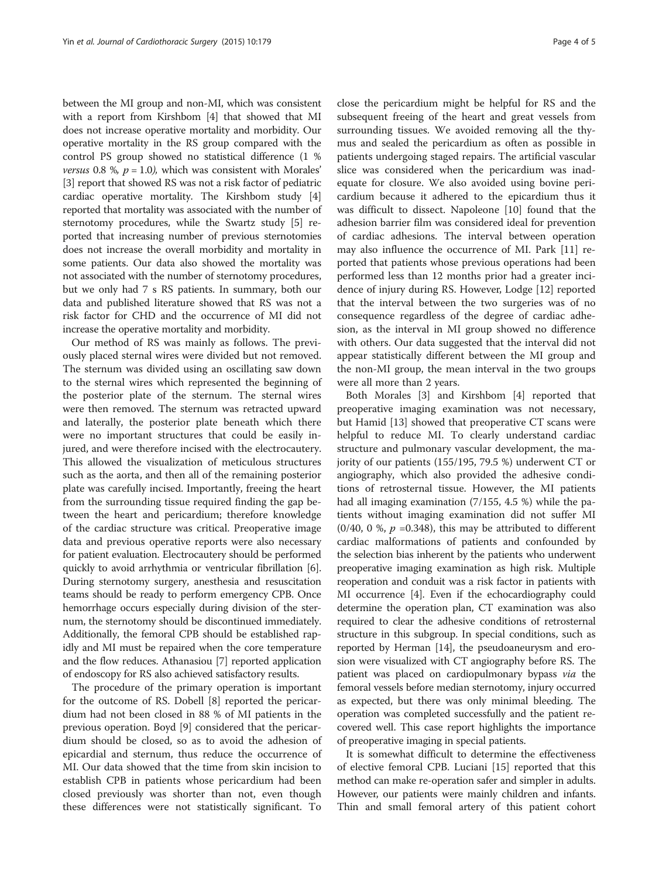between the MI group and non-MI, which was consistent with a report from Kirshbom [\[4](#page-4-0)] that showed that MI does not increase operative mortality and morbidity. Our operative mortality in the RS group compared with the control PS group showed no statistical difference (1 % versus 0.8 %,  $p = 1.0$ ), which was consistent with Morales' [[3\]](#page-4-0) report that showed RS was not a risk factor of pediatric cardiac operative mortality. The Kirshbom study [[4](#page-4-0)] reported that mortality was associated with the number of sternotomy procedures, while the Swartz study [[5\]](#page-4-0) reported that increasing number of previous sternotomies does not increase the overall morbidity and mortality in some patients. Our data also showed the mortality was not associated with the number of sternotomy procedures, but we only had 7 s RS patients. In summary, both our data and published literature showed that RS was not a risk factor for CHD and the occurrence of MI did not increase the operative mortality and morbidity.

Our method of RS was mainly as follows. The previously placed sternal wires were divided but not removed. The sternum was divided using an oscillating saw down to the sternal wires which represented the beginning of the posterior plate of the sternum. The sternal wires were then removed. The sternum was retracted upward and laterally, the posterior plate beneath which there were no important structures that could be easily injured, and were therefore incised with the electrocautery. This allowed the visualization of meticulous structures such as the aorta, and then all of the remaining posterior plate was carefully incised. Importantly, freeing the heart from the surrounding tissue required finding the gap between the heart and pericardium; therefore knowledge of the cardiac structure was critical. Preoperative image data and previous operative reports were also necessary for patient evaluation. Electrocautery should be performed quickly to avoid arrhythmia or ventricular fibrillation [[6](#page-4-0)]. During sternotomy surgery, anesthesia and resuscitation teams should be ready to perform emergency CPB. Once hemorrhage occurs especially during division of the sternum, the sternotomy should be discontinued immediately. Additionally, the femoral CPB should be established rapidly and MI must be repaired when the core temperature and the flow reduces. Athanasiou [\[7](#page-4-0)] reported application of endoscopy for RS also achieved satisfactory results.

The procedure of the primary operation is important for the outcome of RS. Dobell [\[8](#page-4-0)] reported the pericardium had not been closed in 88 % of MI patients in the previous operation. Boyd [\[9](#page-4-0)] considered that the pericardium should be closed, so as to avoid the adhesion of epicardial and sternum, thus reduce the occurrence of MI. Our data showed that the time from skin incision to establish CPB in patients whose pericardium had been closed previously was shorter than not, even though these differences were not statistically significant. To

close the pericardium might be helpful for RS and the subsequent freeing of the heart and great vessels from surrounding tissues. We avoided removing all the thymus and sealed the pericardium as often as possible in patients undergoing staged repairs. The artificial vascular slice was considered when the pericardium was inadequate for closure. We also avoided using bovine pericardium because it adhered to the epicardium thus it was difficult to dissect. Napoleone [\[10\]](#page-4-0) found that the adhesion barrier film was considered ideal for prevention of cardiac adhesions. The interval between operation may also influence the occurrence of MI. Park [[11\]](#page-4-0) reported that patients whose previous operations had been performed less than 12 months prior had a greater incidence of injury during RS. However, Lodge [[12\]](#page-4-0) reported that the interval between the two surgeries was of no consequence regardless of the degree of cardiac adhesion, as the interval in MI group showed no difference with others. Our data suggested that the interval did not appear statistically different between the MI group and the non-MI group, the mean interval in the two groups were all more than 2 years.

Both Morales [\[3\]](#page-4-0) and Kirshbom [[4\]](#page-4-0) reported that preoperative imaging examination was not necessary, but Hamid [[13](#page-4-0)] showed that preoperative CT scans were helpful to reduce MI. To clearly understand cardiac structure and pulmonary vascular development, the majority of our patients (155/195, 79.5 %) underwent CT or angiography, which also provided the adhesive conditions of retrosternal tissue. However, the MI patients had all imaging examination (7/155, 4.5 %) while the patients without imaging examination did not suffer MI (0/40, 0 %,  $p = 0.348$ ), this may be attributed to different cardiac malformations of patients and confounded by the selection bias inherent by the patients who underwent preoperative imaging examination as high risk. Multiple reoperation and conduit was a risk factor in patients with MI occurrence [\[4\]](#page-4-0). Even if the echocardiography could determine the operation plan, CT examination was also required to clear the adhesive conditions of retrosternal structure in this subgroup. In special conditions, such as reported by Herman [\[14](#page-4-0)], the pseudoaneurysm and erosion were visualized with CT angiography before RS. The patient was placed on cardiopulmonary bypass *via* the femoral vessels before median sternotomy, injury occurred as expected, but there was only minimal bleeding. The operation was completed successfully and the patient recovered well. This case report highlights the importance of preoperative imaging in special patients.

It is somewhat difficult to determine the effectiveness of elective femoral CPB. Luciani [[15\]](#page-4-0) reported that this method can make re-operation safer and simpler in adults. However, our patients were mainly children and infants. Thin and small femoral artery of this patient cohort